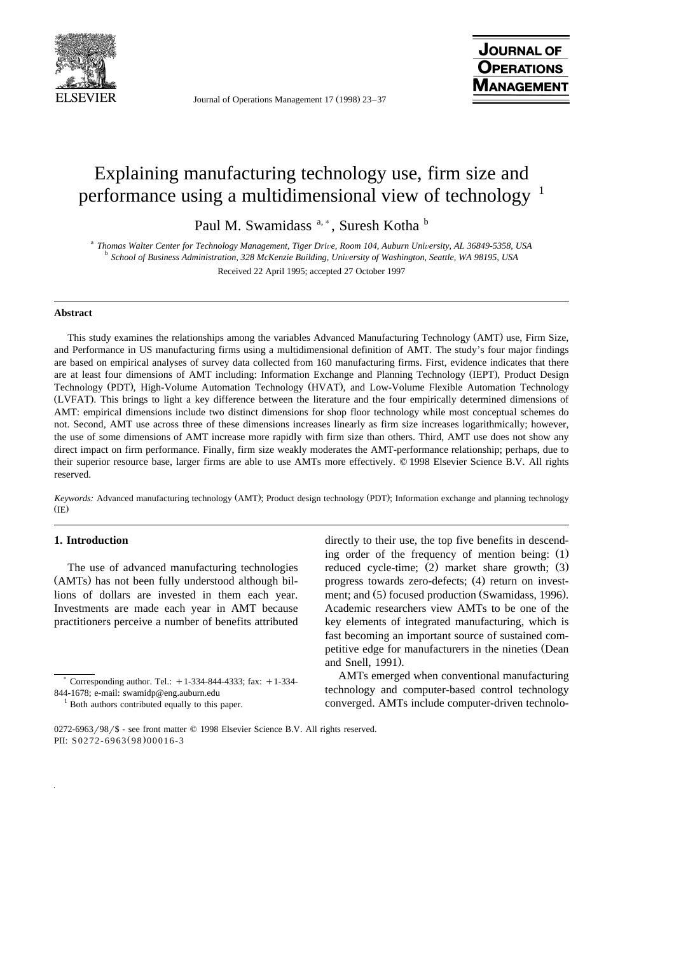

Journal of Operations Management 17 (1998) 23–37

# Explaining manufacturing technology use, firm size and performance using a multidimensional view of technology <sup>1</sup>

Paul M. Swamidass<sup>a,\*</sup>, Suresh Kotha b

<sup>a</sup> Thomas Walter Center for Technology Management, Tiger Drive, Room 104, Auburn University, AL 36849-5358, USA<br><sup>b</sup> School of Business Administration, 328 McKenzie Building, University of Washington, Seattle, WA 98195, US Received 22 April 1995; accepted 27 October 1997

## **Abstract**

This study examines the relationships among the variables Advanced Manufacturing Technology (AMT) use, Firm Size, and Performance in US manufacturing firms using a multidimensional definition of AMT. The study's four major findings are based on empirical analyses of survey data collected from 160 manufacturing firms. First, evidence indicates that there are at least four dimensions of AMT including: Information Exchange and Planning Technology (IEPT), Product Design Technology (PDT), High-Volume Automation Technology (HVAT), and Low-Volume Flexible Automation Technology Ž . LVFAT . This brings to light a key difference between the literature and the four empirically determined dimensions of AMT: empirical dimensions include two distinct dimensions for shop floor technology while most conceptual schemes do not. Second, AMT use across three of these dimensions increases linearly as firm size increases logarithmically; however, the use of some dimensions of AMT increase more rapidly with firm size than others. Third, AMT use does not show any direct impact on firm performance. Finally, firm size weakly moderates the AMT-performance relationship; perhaps, due to their superior resource base, larger firms are able to use AMTs more effectively. © 1998 Elsevier Science B.V. All rights reserved.

*Keywords:* Advanced manufacturing technology (AMT); Product design technology (PDT); Information exchange and planning technology  $(IE)$ 

# **1. Introduction**

The use of advanced manufacturing technologies (AMTs) has not been fully understood although billions of dollars are invested in them each year. Investments are made each year in AMT because practitioners perceive a number of benefits attributed directly to their use, the top five benefits in descending order of the frequency of mention being:  $(1)$ reduced cycle-time;  $(2)$  market share growth;  $(3)$ progress towards zero-defects; (4) return on investment; and (5) focused production (Swamidass, 1996). Academic researchers view AMTs to be one of the key elements of integrated manufacturing, which is fast becoming an important source of sustained competitive edge for manufacturers in the nineties (Dean and Snell, 1991).

AMTs emerged when conventional manufacturing technology and computer-based control technology converged. AMTs include computer-driven technolo-

Corresponding author. Tel.:  $+1-334-844-4333$ ; fax:  $+1-334-844$ 

<sup>844-1678;</sup> e-mail: swamidp@eng.auburn.edu  $1$  Both authors contributed equally to this paper.

 $0272-6963/98/$ \$ - see front matter  $\odot$  1998 Elsevier Science B.V. All rights reserved. PII: S0272-6963(98)00016-3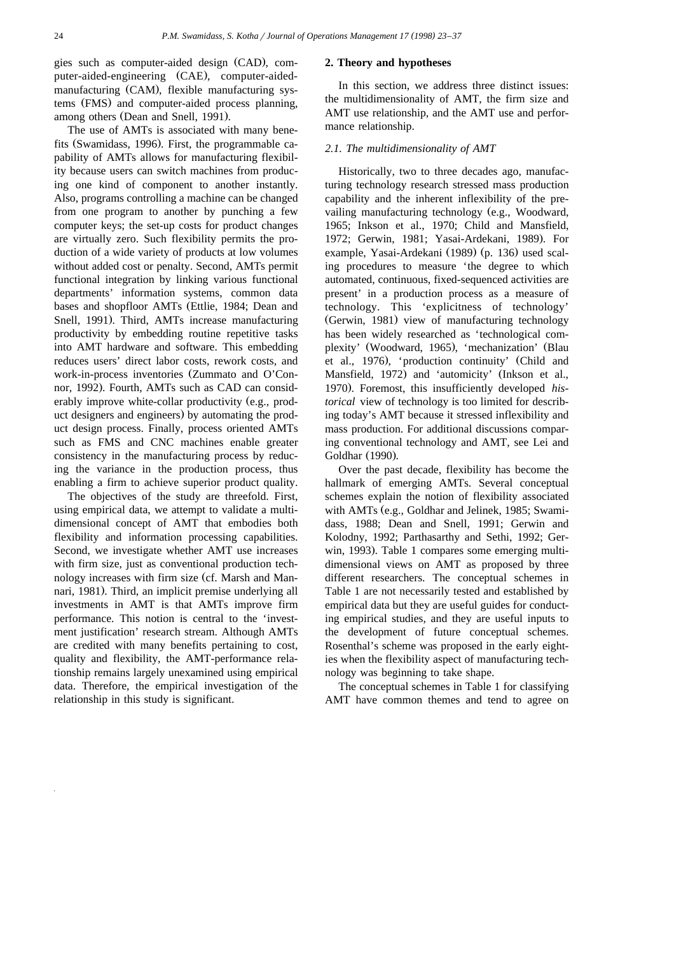gies such as computer-aided design (CAD), computer-aided-engineering (CAE), computer-aidedmanufacturing (CAM), flexible manufacturing systems (FMS) and computer-aided process planning, among others (Dean and Snell, 1991).

The use of AMTs is associated with many benefits (Swamidass, 1996). First, the programmable capability of AMTs allows for manufacturing flexibility because users can switch machines from producing one kind of component to another instantly. Also, programs controlling a machine can be changed from one program to another by punching a few computer keys; the set-up costs for product changes are virtually zero. Such flexibility permits the production of a wide variety of products at low volumes without added cost or penalty. Second, AMTs permit functional integration by linking various functional departments' information systems, common data bases and shopfloor AMTs (Ettlie, 1984; Dean and Snell, 1991). Third, AMTs increase manufacturing productivity by embedding routine repetitive tasks into AMT hardware and software. This embedding reduces users' direct labor costs, rework costs, and work-in-process inventories (Zummato and O'Connor, 1992). Fourth, AMTs such as CAD can considerably improve white-collar productivity (e.g., product designers and engineers) by automating the product design process. Finally, process oriented AMTs such as FMS and CNC machines enable greater consistency in the manufacturing process by reducing the variance in the production process, thus enabling a firm to achieve superior product quality.

The objectives of the study are threefold. First, using empirical data, we attempt to validate a multidimensional concept of AMT that embodies both flexibility and information processing capabilities. Second, we investigate whether AMT use increases with firm size, just as conventional production technology increases with firm size (cf. Marsh and Mannari, 1981). Third, an implicit premise underlying all investments in AMT is that AMTs improve firm performance. This notion is central to the 'investment justification' research stream. Although AMTs are credited with many benefits pertaining to cost, quality and flexibility, the AMT-performance relationship remains largely unexamined using empirical data. Therefore, the empirical investigation of the relationship in this study is significant.

#### **2. Theory and hypotheses**

In this section, we address three distinct issues: the multidimensionality of AMT, the firm size and AMT use relationship, and the AMT use and performance relationship.

## *2.1. The multidimensionality of AMT*

Historically, two to three decades ago, manufacturing technology research stressed mass production capability and the inherent inflexibility of the prevailing manufacturing technology (e.g., Woodward, 1965; Inkson et al., 1970; Child and Mansfield, 1972; Gerwin, 1981; Yasai-Ardekani, 1989). For example, Yasai-Ardekani (1989) (p. 136) used scaling procedures to measure 'the degree to which automated, continuous, fixed-sequenced activities are present' in a production process as a measure of technology. This 'explicitness of technology' (Gerwin, 1981) view of manufacturing technology has been widely researched as 'technological complexity' (Woodward, 1965), 'mechanization' (Blau et al., 1976), 'production continuity' (Child and Mansfield, 1972) and 'automicity' (Inkson et al., 1970). Foremost, this insufficiently developed *historical* view of technology is too limited for describing today's AMT because it stressed inflexibility and mass production. For additional discussions comparing conventional technology and AMT, see Lei and Goldhar (1990).

Over the past decade, flexibility has become the hallmark of emerging AMTs. Several conceptual schemes explain the notion of flexibility associated with AMTs (e.g., Goldhar and Jelinek, 1985; Swamidass, 1988; Dean and Snell, 1991; Gerwin and Kolodny, 1992; Parthasarthy and Sethi, 1992; Gerwin, 1993). Table 1 compares some emerging multidimensional views on AMT as proposed by three different researchers. The conceptual schemes in Table 1 are not necessarily tested and established by empirical data but they are useful guides for conducting empirical studies, and they are useful inputs to the development of future conceptual schemes. Rosenthal's scheme was proposed in the early eighties when the flexibility aspect of manufacturing technology was beginning to take shape.

The conceptual schemes in Table 1 for classifying AMT have common themes and tend to agree on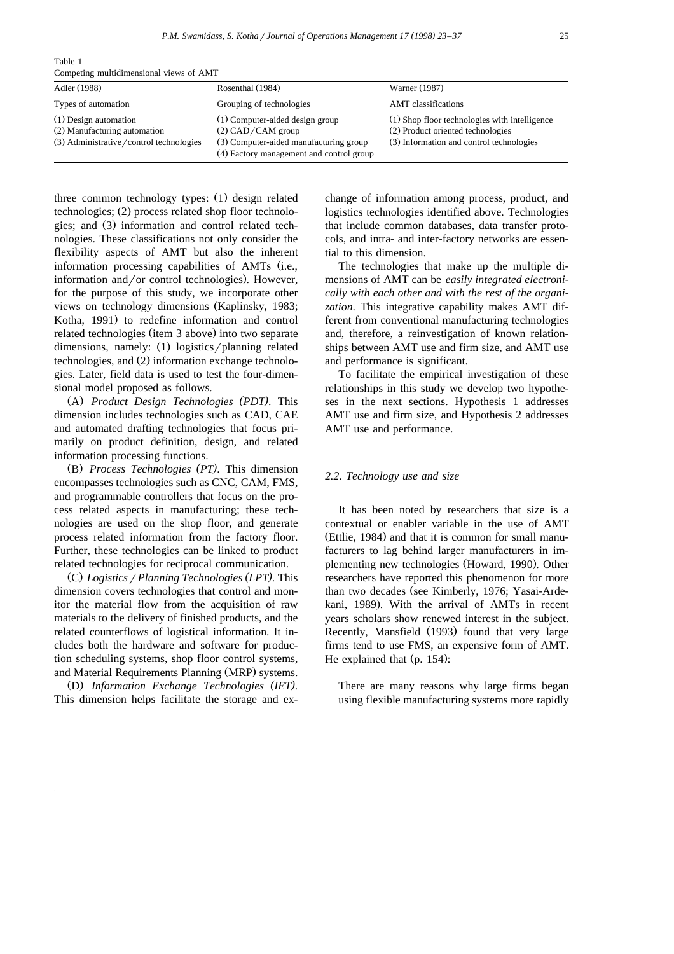Adler (1988) Rosenthal (1984) Warner (1987) Types of automation Grouping of technologies AMT classifications (1) Design automation (1) Computer-aided design group (1) Shop floor technologies with intelligence (2) Manufacturing automation (2) CAD/CAM group (2) Product oriented technologies  $(3)$  Administrative / control technologies  $(3)$  Computer-aided manufacturing group  $(3)$  Information and control technologies (4) Factory management and control group

Table 1 Competing multidimensional views of AMT

three common technology types: (1) design related technologies; (2) process related shop floor technologies; and (3) information and control related technologies. These classifications not only consider the flexibility aspects of AMT but also the inherent information processing capabilities of AMTs (i.e., information and/or control technologies). However, for the purpose of this study, we incorporate other views on technology dimensions (Kaplinsky, 1983; Kotha, 1991) to redefine information and control related technologies (item 3 above) into two separate dimensions, namely: (1) logistics/planning related technologies, and (2) information exchange technologies. Later, field data is used to test the four-dimensional model proposed as follows.

Ž . A *Product Design Technologies PDT ( )*. This dimension includes technologies such as CAD, CAE and automated drafting technologies that focus primarily on product definition, design, and related information processing functions.

Ž . B *Process Technologies PT ( )*. This dimension encompasses technologies such as CNC, CAM, FMS, and programmable controllers that focus on the process related aspects in manufacturing; these technologies are used on the shop floor, and generate process related information from the factory floor. Further, these technologies can be linked to product related technologies for reciprocal communication.

Ž . C *Logistics*r*Planning Technologies LPT ( )*. This dimension covers technologies that control and monitor the material flow from the acquisition of raw materials to the delivery of finished products, and the related counterflows of logistical information. It includes both the hardware and software for production scheduling systems, shop floor control systems, and Material Requirements Planning (MRP) systems.

Ž . D *Information Exchange Technologies IET ( )*. This dimension helps facilitate the storage and exchange of information among process, product, and logistics technologies identified above. Technologies that include common databases, data transfer protocols, and intra- and inter-factory networks are essential to this dimension.

The technologies that make up the multiple dimensions of AMT can be *easily integrated electronically with each other and with the rest of the organization*. This integrative capability makes AMT different from conventional manufacturing technologies and, therefore, a reinvestigation of known relationships between AMT use and firm size, and AMT use and performance is significant.

To facilitate the empirical investigation of these relationships in this study we develop two hypotheses in the next sections. Hypothesis 1 addresses AMT use and firm size, and Hypothesis 2 addresses AMT use and performance.

## *2.2. Technology use and size*

It has been noted by researchers that size is a contextual or enabler variable in the use of AMT (Ettlie, 1984) and that it is common for small manufacturers to lag behind larger manufacturers in implementing new technologies (Howard, 1990). Other researchers have reported this phenomenon for more than two decades (see Kimberly, 1976; Yasai-Ardekani, 1989). With the arrival of AMTs in recent years scholars show renewed interest in the subject. Recently, Mansfield (1993) found that very large firms tend to use FMS, an expensive form of AMT. He explained that  $(p. 154)$ :

There are many reasons why large firms began using flexible manufacturing systems more rapidly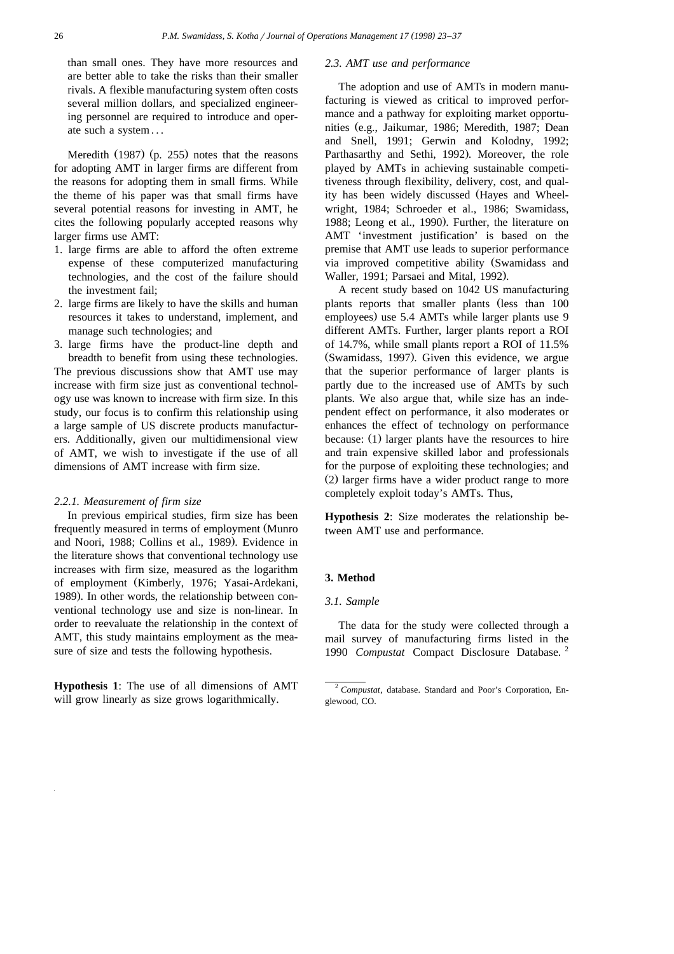than small ones. They have more resources and are better able to take the risks than their smaller rivals. A flexible manufacturing system often costs several million dollars, and specialized engineering personnel are required to introduce and operate such a system . . .

Meredith  $(1987)$  (p. 255) notes that the reasons for adopting AMT in larger firms are different from the reasons for adopting them in small firms. While the theme of his paper was that small firms have several potential reasons for investing in AMT, he cites the following popularly accepted reasons why larger firms use AMT:

- 1. large firms are able to afford the often extreme expense of these computerized manufacturing technologies, and the cost of the failure should the investment fail;
- 2. large firms are likely to have the skills and human resources it takes to understand, implement, and manage such technologies; and
- 3. large firms have the product-line depth and breadth to benefit from using these technologies. The previous discussions show that AMT use may increase with firm size just as conventional technology use was known to increase with firm size. In this study, our focus is to confirm this relationship using a large sample of US discrete products manufacturers. Additionally, given our multidimensional view of AMT, we wish to investigate if the use of all dimensions of AMT increase with firm size.

# *2.2.1. Measurement of firm size*

In previous empirical studies, firm size has been frequently measured in terms of employment (Munro and Noori, 1988; Collins et al., 1989). Evidence in the literature shows that conventional technology use increases with firm size, measured as the logarithm of employment (Kimberly, 1976; Yasai-Ardekani, 1989). In other words, the relationship between conventional technology use and size is non-linear. In order to reevaluate the relationship in the context of AMT, this study maintains employment as the measure of size and tests the following hypothesis.

**Hypothesis 1**: The use of all dimensions of AMT will grow linearly as size grows logarithmically.

### *2.3. AMT use and performance*

The adoption and use of AMTs in modern manufacturing is viewed as critical to improved performance and a pathway for exploiting market opportunities (e.g., Jaikumar, 1986; Meredith, 1987; Dean and Snell, 1991; Gerwin and Kolodny, 1992; Parthasarthy and Sethi, 1992). Moreover, the role played by AMTs in achieving sustainable competitiveness through flexibility, delivery, cost, and quality has been widely discussed (Hayes and Wheelwright, 1984; Schroeder et al., 1986; Swamidass, 1988; Leong et al., 1990). Further, the literature on AMT 'investment justification' is based on the premise that AMT use leads to superior performance via improved competitive ability (Swamidass and Waller, 1991; Parsaei and Mital, 1992).

A recent study based on 1042 US manufacturing plants reports that smaller plants (less than 100 employees) use 5.4 AMTs while larger plants use 9 different AMTs. Further, larger plants report a ROI of 14.7%, while small plants report a ROI of 11.5% (Swamidass, 1997). Given this evidence, we argue that the superior performance of larger plants is partly due to the increased use of AMTs by such plants. We also argue that, while size has an independent effect on performance, it also moderates or enhances the effect of technology on performance because: (1) larger plants have the resources to hire and train expensive skilled labor and professionals for the purpose of exploiting these technologies; and  $(2)$  larger firms have a wider product range to more completely exploit today's AMTs. Thus,

**Hypothesis 2**: Size moderates the relationship between AMT use and performance.

## **3. Method**

#### *3.1. Sample*

The data for the study were collected through a mail survey of manufacturing firms listed in the 1990 *Compustat* Compact Disclosure Database. <sup>2</sup>

<sup>2</sup> *Compustat*, database. Standard and Poor's Corporation, Englewood, CO.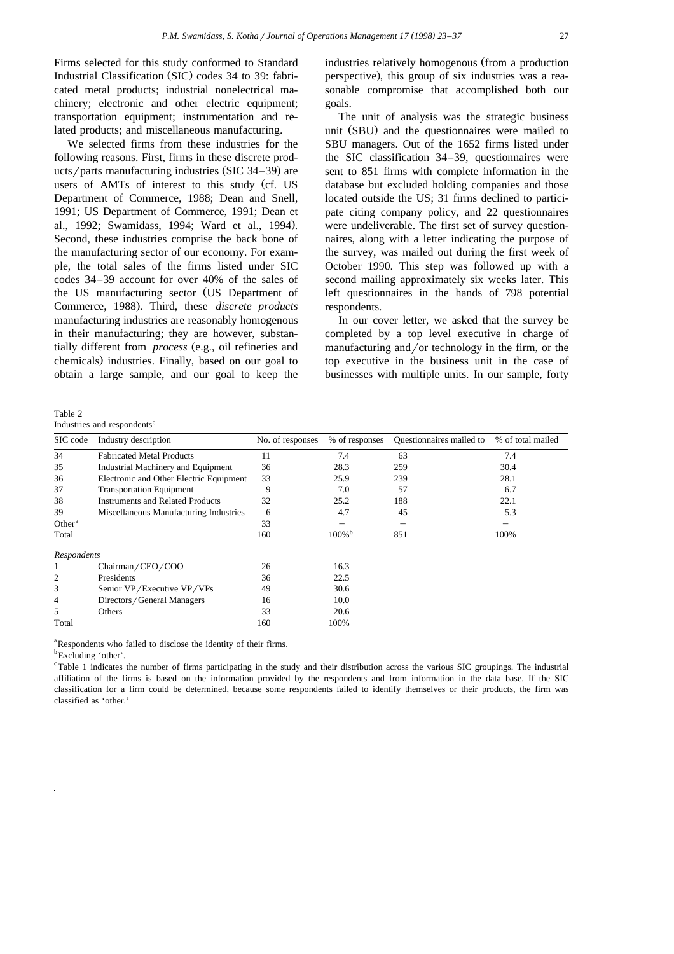Firms selected for this study conformed to Standard Industrial Classification (SIC) codes 34 to 39: fabricated metal products; industrial nonelectrical machinery; electronic and other electric equipment; transportation equipment; instrumentation and related products; and miscellaneous manufacturing.

We selected firms from these industries for the following reasons. First, firms in these discrete products/parts manufacturing industries (SIC 34–39) are users of AMTs of interest to this study (cf. US Department of Commerce, 1988; Dean and Snell, 1991; US Department of Commerce, 1991; Dean et al., 1992; Swamidass, 1994; Ward et al., 1994). Second, these industries comprise the back bone of the manufacturing sector of our economy. For example, the total sales of the firms listed under SIC codes 34–39 account for over 40% of the sales of the US manufacturing sector (US Department of Commerce, 1988). Third, these *discrete products* manufacturing industries are reasonably homogenous in their manufacturing; they are however, substantially different from *process* (e.g., oil refineries and chemicals) industries. Finally, based on our goal to obtain a large sample, and our goal to keep the

Table 2 Industries and respondents<sup>c</sup>

industries relatively homogenous (from a production perspective), this group of six industries was a reasonable compromise that accomplished both our goals.

The unit of analysis was the strategic business unit (SBU) and the questionnaires were mailed to SBU managers. Out of the 1652 firms listed under the SIC classification 34–39, questionnaires were sent to 851 firms with complete information in the database but excluded holding companies and those located outside the US; 31 firms declined to participate citing company policy, and 22 questionnaires were undeliverable. The first set of survey questionnaires, along with a letter indicating the purpose of the survey, was mailed out during the first week of October 1990. This step was followed up with a second mailing approximately six weeks later. This left questionnaires in the hands of 798 potential respondents.

In our cover letter, we asked that the survey be completed by a top level executive in charge of manufacturing and/or technology in the firm, or the top executive in the business unit in the case of businesses with multiple units. In our sample, forty

| SIC code       | Industry description                    | No. of responses | % of responses       | Questionnaires mailed to | % of total mailed |
|----------------|-----------------------------------------|------------------|----------------------|--------------------------|-------------------|
| 34             | <b>Fabricated Metal Products</b>        | 11               | 7.4                  | 63                       | 7.4               |
| 35             | Industrial Machinery and Equipment      | 36               | 28.3                 | 259                      | 30.4              |
| 36             | Electronic and Other Electric Equipment | 33               | 25.9                 | 239                      | 28.1              |
| 37             | <b>Transportation Equipment</b>         | 9                | 7.0                  | 57                       | 6.7               |
| 38             | <b>Instruments and Related Products</b> | 32               | 25.2                 | 188                      | 22.1              |
| 39             | Miscellaneous Manufacturing Industries  | 6                | 4.7                  | 45                       | 5.3               |
| Other $a$      |                                         | 33               |                      |                          |                   |
| Total          |                                         | 160              | $100\%$ <sup>b</sup> | 851                      | 100%              |
| Respondents    |                                         |                  |                      |                          |                   |
|                | Chairman/CEO/COO                        | 26               | 16.3                 |                          |                   |
| $\overline{c}$ | Presidents                              | 36               | 22.5                 |                          |                   |
| 3              | Senior VP/Executive VP/VPs              | 49               | 30.6                 |                          |                   |
| 4              | Directors/General Managers              | 16               | 10.0                 |                          |                   |
| 5              | Others                                  | 33               | 20.6                 |                          |                   |
| Total          |                                         | 160              | 100%                 |                          |                   |

<sup>a</sup>Respondents who failed to disclose the identity of their firms.

<sup>b</sup>Excluding 'other'.

<sup>c</sup>Table 1 indicates the number of firms participating in the study and their distribution across the various SIC groupings. The industrial affiliation of the firms is based on the information provided by the respondents and from information in the data base. If the SIC classification for a firm could be determined, because some respondents failed to identify themselves or their products, the firm was classified as 'other.'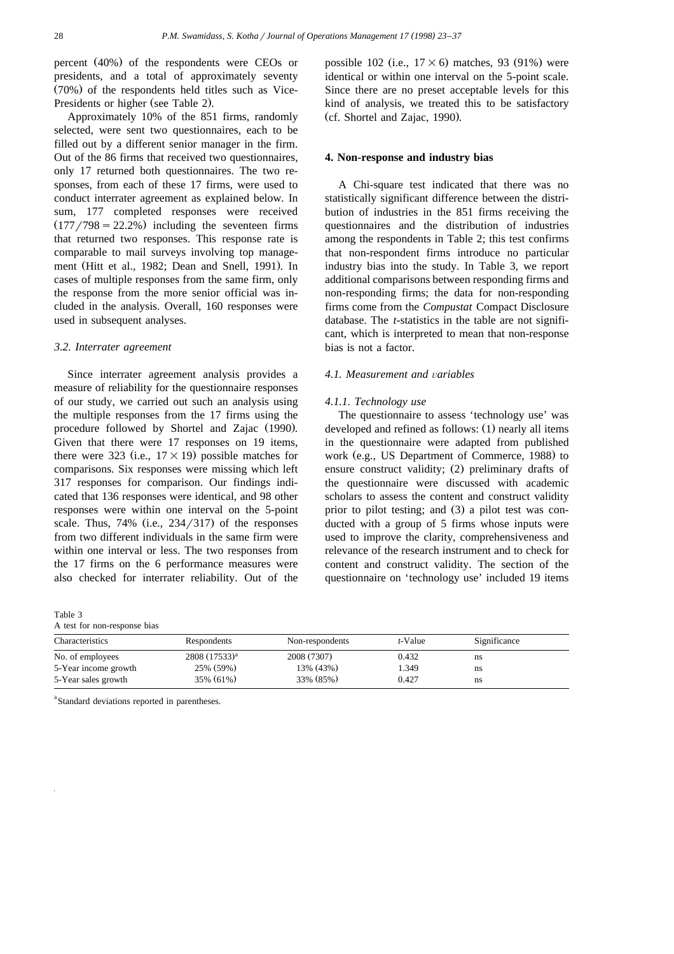percent  $(40\%)$  of the respondents were CEOs or presidents, and a total of approximately seventy  $(70%)$  of the respondents held titles such as Vice-Presidents or higher (see Table 2).

Approximately 10% of the 851 firms, randomly selected, were sent two questionnaires, each to be filled out by a different senior manager in the firm. Out of the 86 firms that received two questionnaires, only 17 returned both questionnaires. The two responses, from each of these 17 firms, were used to conduct interrater agreement as explained below. In sum, 177 completed responses were received  $(177/798 = 22.2\%)$  including the seventeen firms that returned two responses. This response rate is comparable to mail surveys involving top management (Hitt et al., 1982; Dean and Snell, 1991). In cases of multiple responses from the same firm, only the response from the more senior official was included in the analysis. Overall, 160 responses were used in subsequent analyses.

## *3.2. Interrater agreement*

Since interrater agreement analysis provides a measure of reliability for the questionnaire responses of our study, we carried out such an analysis using the multiple responses from the 17 firms using the procedure followed by Shortel and Zajac (1990). Given that there were 17 responses on 19 items, there were 323 (i.e.,  $17 \times 19$ ) possible matches for comparisons. Six responses were missing which left 317 responses for comparison. Our findings indicated that 136 responses were identical, and 98 other responses were within one interval on the 5-point scale. Thus,  $74\%$  (i.e.,  $234/317$ ) of the responses from two different individuals in the same firm were within one interval or less. The two responses from the 17 firms on the 6 performance measures were also checked for interrater reliability. Out of the

Table 3 A test for non-response bias possible 102 (i.e.,  $17 \times 6$ ) matches, 93 (91%) were identical or within one interval on the 5-point scale. Since there are no preset acceptable levels for this kind of analysis, we treated this to be satisfactory (cf. Shortel and Zajac, 1990).

## **4. Non-response and industry bias**

A Chi-square test indicated that there was no statistically significant difference between the distribution of industries in the 851 firms receiving the questionnaires and the distribution of industries among the respondents in Table 2; this test confirms that non-respondent firms introduce no particular industry bias into the study. In Table 3, we report additional comparisons between responding firms and non-responding firms; the data for non-responding firms come from the *Compustat* Compact Disclosure database. The *t*-statistics in the table are not significant, which is interpreted to mean that non-response bias is not a factor.

## *4.1. Measurement and* Õ*ariables*

#### *4.1.1. Technology use*

The questionnaire to assess 'technology use' was developed and refined as follows:  $(1)$  nearly all items in the questionnaire were adapted from published work (e.g., US Department of Commerce, 1988) to ensure construct validity;  $(2)$  preliminary drafts of the questionnaire were discussed with academic scholars to assess the content and construct validity prior to pilot testing; and  $(3)$  a pilot test was conducted with a group of 5 firms whose inputs were used to improve the clarity, comprehensiveness and relevance of the research instrument and to check for content and construct validity. The section of the questionnaire on 'technology use' included 19 items

| Characteristics      | Respondents        | Non-respondents | t-Value | Significance |  |
|----------------------|--------------------|-----------------|---------|--------------|--|
| No. of employees     | $2808 (17533)^{a}$ | 2008 (7307)     | 0.432   | ns           |  |
| 5-Year income growth | 25% (59%)          | 13% (43%)       | 1.349   | ns           |  |
| 5-Year sales growth  | 35% (61%)          | 33% (85%)       | 0.427   | ns           |  |

<sup>a</sup>Standard deviations reported in parentheses.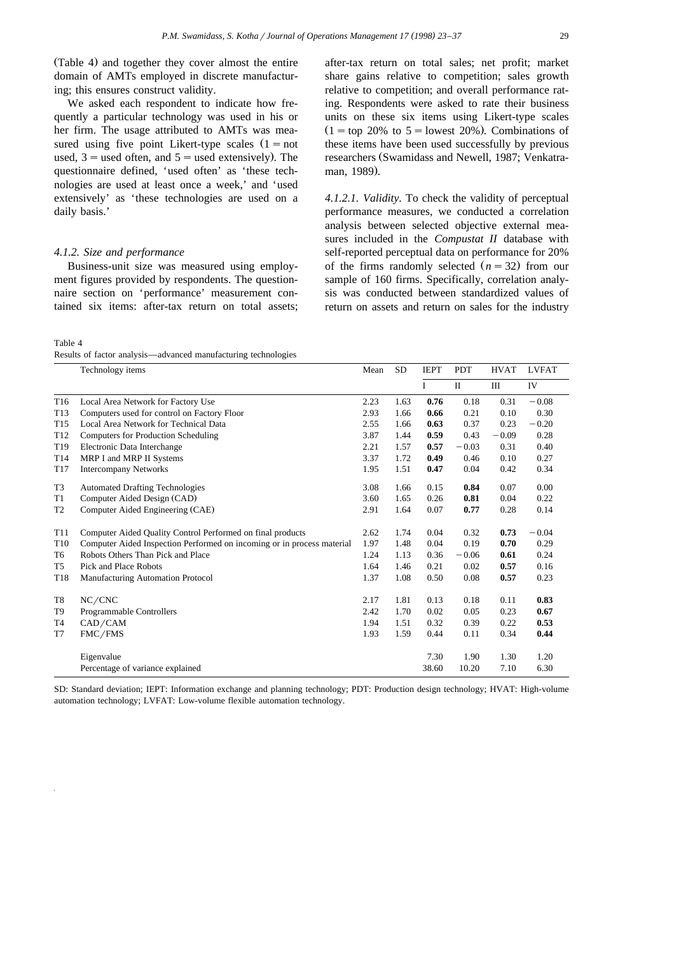(Table 4) and together they cover almost the entire domain of AMTs employed in discrete manufacturing; this ensures construct validity.

We asked each respondent to indicate how frequently a particular technology was used in his or her firm. The usage attributed to AMTs was measured using five point Likert-type scales  $(1 = not$ used,  $3$  = used often, and  $5$  = used extensively). The questionnaire defined, 'used often' as 'these technologies are used at least once a week,' and 'used extensively' as 'these technologies are used on a daily basis.'

# *4.1.2. Size and performance*

Business-unit size was measured using employment figures provided by respondents. The questionnaire section on 'performance' measurement contained six items: after-tax return on total assets;

Table 4

Results of factor analysis—advanced manufacturing technologies

after-tax return on total sales; net profit; market share gains relative to competition; sales growth relative to competition; and overall performance rating. Respondents were asked to rate their business units on these six items using Likert-type scales  $(1 = top 20\%$  to  $5 = lowest 20\%).$  Combinations of these items have been used successfully by previous researchers (Swamidass and Newell, 1987; Venkatraman, 1989).

*4.1.2.1. Validity*. To check the validity of perceptual performance measures, we conducted a correlation analysis between selected objective external measures included in the *Compustat II* database with self-reported perceptual data on performance for 20% of the firms randomly selected  $(n = 32)$  from our sample of 160 firms. Specifically, correlation analysis was conducted between standardized values of return on assets and return on sales for the industry

|                 | Technology items                                                       | Mean | <b>SD</b> | <b>IEPT</b> | <b>PDT</b>   | <b>HVAT</b> | <b>LVFAT</b> |
|-----------------|------------------------------------------------------------------------|------|-----------|-------------|--------------|-------------|--------------|
|                 |                                                                        |      |           | I           | $\mathbf{I}$ | Ш           | IV           |
| T <sub>16</sub> | Local Area Network for Factory Use                                     | 2.23 | 1.63      | 0.76        | 0.18         | 0.31        | $-0.08$      |
| T <sub>13</sub> | Computers used for control on Factory Floor                            | 2.93 | 1.66      | 0.66        | 0.21         | 0.10        | 0.30         |
| T <sub>15</sub> | Local Area Network for Technical Data                                  | 2.55 | 1.66      | 0.63        | 0.37         | 0.23        | $-0.20$      |
| T <sub>12</sub> | Computers for Production Scheduling                                    | 3.87 | 1.44      | 0.59        | 0.43         | $-0.09$     | 0.28         |
| T <sub>19</sub> | Electronic Data Interchange                                            | 2.21 | 1.57      | 0.57        | $-0.03$      | 0.31        | 0.40         |
| T <sub>14</sub> | MRP I and MRP II Systems                                               | 3.37 | 1.72      | 0.49        | 0.46         | 0.10        | 0.27         |
| T <sub>17</sub> | <b>Intercompany Networks</b>                                           | 1.95 | 1.51      | 0.47        | 0.04         | 0.42        | 0.34         |
| T <sub>3</sub>  | <b>Automated Drafting Technologies</b>                                 | 3.08 | 1.66      | 0.15        | 0.84         | 0.07        | 0.00         |
| T1              | Computer Aided Design (CAD)                                            | 3.60 | 1.65      | 0.26        | 0.81         | 0.04        | 0.22         |
| T2              | Computer Aided Engineering (CAE)                                       | 2.91 | 1.64      | 0.07        | 0.77         | 0.28        | 0.14         |
| T <sub>11</sub> | Computer Aided Quality Control Performed on final products             | 2.62 | 1.74      | 0.04        | 0.32         | 0.73        | $-0.04$      |
| T <sub>10</sub> | Computer Aided Inspection Performed on incoming or in process material | 1.97 | 1.48      | 0.04        | 0.19         | 0.70        | 0.29         |
| T6              | Robots Others Than Pick and Place                                      | 1.24 | 1.13      | 0.36        | $-0.06$      | 0.61        | 0.24         |
| T5              | Pick and Place Robots                                                  | 1.64 | 1.46      | 0.21        | 0.02         | 0.57        | 0.16         |
| T18             | Manufacturing Automation Protocol                                      | 1.37 | 1.08      | 0.50        | 0.08         | 0.57        | 0.23         |
| T8              | NC/CNC                                                                 | 2.17 | 1.81      | 0.13        | 0.18         | 0.11        | 0.83         |
| T9              | <b>Programmable Controllers</b>                                        | 2.42 | 1.70      | 0.02        | 0.05         | 0.23        | 0.67         |
| T4              | CAD/CAM                                                                | 1.94 | 1.51      | 0.32        | 0.39         | 0.22        | 0.53         |
| T7              | FMC/FMS                                                                | 1.93 | 1.59      | 0.44        | 0.11         | 0.34        | 0.44         |
|                 | Eigenvalue                                                             |      |           | 7.30        | 1.90         | 1.30        | 1.20         |
|                 | Percentage of variance explained                                       |      |           | 38.60       | 10.20        | 7.10        | 6.30         |

SD: Standard deviation; IEPT: Information exchange and planning technology; PDT: Production design technology; HVAT: High-volume automation technology; LVFAT: Low-volume flexible automation technology.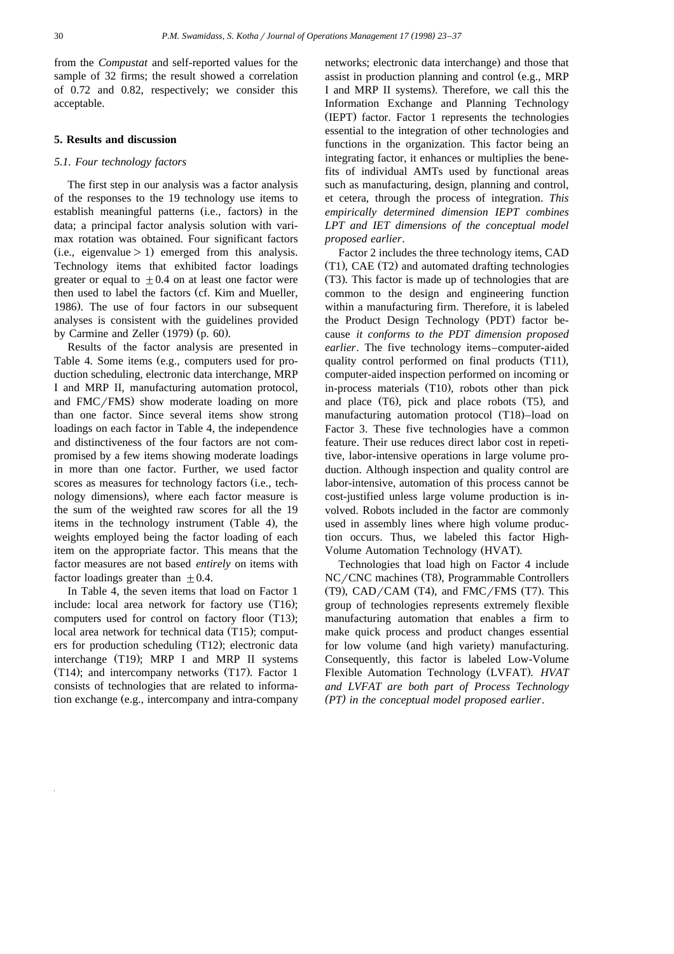from the *Compustat* and self-reported values for the sample of 32 firms; the result showed a correlation of 0.72 and 0.82, respectively; we consider this acceptable.

# **5. Results and discussion**

## *5.1. Four technology factors*

The first step in our analysis was a factor analysis of the responses to the 19 technology use items to establish meaningful patterns (i.e., factors) in the data; a principal factor analysis solution with varimax rotation was obtained. Four significant factors  $(i.e., eigenvalue > 1)$  emerged from this analysis. Technology items that exhibited factor loadings greater or equal to  $\pm 0.4$  on at least one factor were then used to label the factors (cf. Kim and Mueller, 1986). The use of four factors in our subsequent analyses is consistent with the guidelines provided by Carmine and Zeller  $(1979)$  (p. 60).

Results of the factor analysis are presented in Table 4. Some items (e.g., computers used for production scheduling, electronic data interchange, MRP I and MRP II, manufacturing automation protocol, and FMC/FMS) show moderate loading on more than one factor. Since several items show strong loadings on each factor in Table 4, the independence and distinctiveness of the four factors are not compromised by a few items showing moderate loadings in more than one factor. Further, we used factor scores as measures for technology factors (i.e., technology dimensions), where each factor measure is. the sum of the weighted raw scores for all the 19 items in the technology instrument (Table 4), the weights employed being the factor loading of each item on the appropriate factor. This means that the factor measures are not based *entirely* on items with factor loadings greater than  $\pm 0.4$ .

In Table 4, the seven items that load on Factor 1 include: local area network for factory use  $(T16)$ ; computers used for control on factory floor  $(T13)$ ; local area network for technical data  $(T15)$ ; computers for production scheduling (T12); electronic data interchange  $(T19)$ ; MRP I and MRP II systems  $(T14)$ ; and intercompany networks  $(T17)$ . Factor 1 consists of technologies that are related to information exchange (e.g., intercompany and intra-company networks; electronic data interchange) and those that assist in production planning and control (e.g., MRP) I and MRP II systems). Therefore, we call this the Information Exchange and Planning Technology (IEPT) factor. Factor 1 represents the technologies essential to the integration of other technologies and functions in the organization. This factor being an integrating factor, it enhances or multiplies the benefits of individual AMTs used by functional areas such as manufacturing, design, planning and control, et cetera, through the process of integration. *This empirically determined dimension IEPT combines LPT and IET dimensions of the conceptual model proposed earlier*.

Factor 2 includes the three technology items, CAD  $(T1)$ , CAE  $(T2)$  and automated drafting technologies (T3). This factor is made up of technologies that are common to the design and engineering function within a manufacturing firm. Therefore, it is labeled the Product Design Technology (PDT) factor because *it conforms to the PDT dimension proposed earlier*. The five technology items–computer-aided quality control performed on final products (T11), computer-aided inspection performed on incoming or in-process materials (T10), robots other than pick and place  $(T6)$ , pick and place robots  $(T5)$ , and manufacturing automation protocol (T18)-load on Factor 3. These five technologies have a common feature. Their use reduces direct labor cost in repetitive, labor-intensive operations in large volume production. Although inspection and quality control are labor-intensive, automation of this process cannot be cost-justified unless large volume production is involved. Robots included in the factor are commonly used in assembly lines where high volume production occurs. Thus, we labeled this factor High-Volume Automation Technology (HVAT).

Technologies that load high on Factor 4 include  $NC/CNC$  machines (T8), Programmable Controllers  $(T9)$ , CAD/CAM  $(T4)$ , and FMC/FMS  $(T7)$ . This group of technologies represents extremely flexible manufacturing automation that enables a firm to make quick process and product changes essential for low volume (and high variety) manufacturing. Consequently, this factor is labeled Low-Volume Flexible Automation Technology (LVFAT). *HVAT and LVFAT are both part of Process Technology (PT) in the conceptual model proposed earlier.*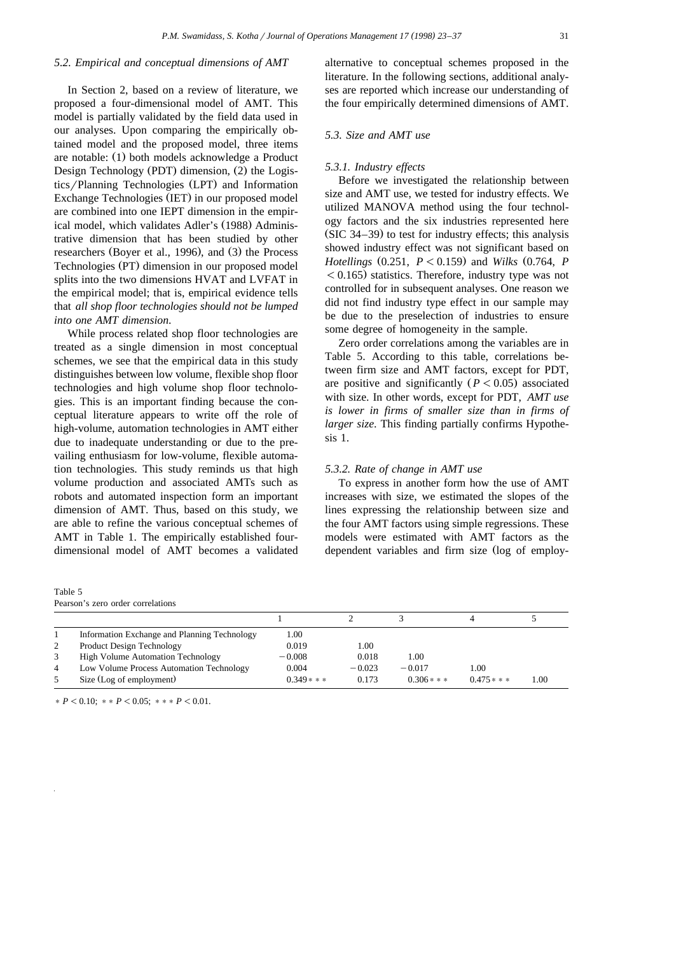# *5.2. Empirical and conceptual dimensions of AMT*

In Section 2, based on a review of literature, we proposed a four-dimensional model of AMT. This model is partially validated by the field data used in our analyses. Upon comparing the empirically obtained model and the proposed model, three items are notable: (1) both models acknowledge a Product Design Technology (PDT) dimension, (2) the Logistics/Planning Technologies (LPT) and Information Exchange Technologies (IET) in our proposed model are combined into one IEPT dimension in the empirical model, which validates Adler's (1988) Administrative dimension that has been studied by other researchers (Boyer et al., 1996), and (3) the Process Technologies (PT) dimension in our proposed model splits into the two dimensions HVAT and LVFAT in the empirical model; that is, empirical evidence tells that *all shop floor technologies should not be lumped into one AMT dimension*.

While process related shop floor technologies are treated as a single dimension in most conceptual schemes, we see that the empirical data in this study distinguishes between low volume, flexible shop floor technologies and high volume shop floor technologies. This is an important finding because the conceptual literature appears to write off the role of high-volume, automation technologies in AMT either due to inadequate understanding or due to the prevailing enthusiasm for low-volume, flexible automation technologies. This study reminds us that high volume production and associated AMTs such as robots and automated inspection form an important dimension of AMT. Thus, based on this study, we are able to refine the various conceptual schemes of AMT in Table 1. The empirically established fourdimensional model of AMT becomes a validated

| Table 5 |  |                                   |
|---------|--|-----------------------------------|
|         |  | Pearson's zero order correlations |

alternative to conceptual schemes proposed in the literature. In the following sections, additional analyses are reported which increase our understanding of the four empirically determined dimensions of AMT.

# *5.3. Size and AMT use*

## *5.3.1. Industry effects*

Before we investigated the relationship between size and AMT use, we tested for industry effects. We utilized MANOVA method using the four technology factors and the six industries represented here  $(SIC 34–39)$  to test for industry effects; this analysis showed industry effect was not significant based on *Hotellings* (0.251,  $P < 0.159$ ) and *Wilks* (0.764, *P*  $(0.165)$  statistics. Therefore, industry type was not controlled for in subsequent analyses. One reason we did not find industry type effect in our sample may be due to the preselection of industries to ensure some degree of homogeneity in the sample.

Zero order correlations among the variables are in Table 5. According to this table, correlations between firm size and AMT factors, except for PDT, are positive and significantly  $(P < 0.05)$  associated with size. In other words, except for PDT, *AMT use is lower in firms of smaller size than in firms of larger size*. This finding partially confirms Hypothesis 1.

#### *5.3.2. Rate of change in AMT use*

To express in another form how the use of AMT increases with size, we estimated the slopes of the lines expressing the relationship between size and the four AMT factors using simple regressions. These models were estimated with AMT factors as the dependent variables and firm size (log of employ-

|   | Information Exchange and Planning Technology | 1.00       |          |               |            |      |
|---|----------------------------------------------|------------|----------|---------------|------------|------|
| 2 | <b>Product Design Technology</b>             | 0.019      | 00.      |               |            |      |
| 3 | <b>High Volume Automation Technology</b>     | $-0.008$   | 0.018    | 1.00          |            |      |
| 4 | Low Volume Process Automation Technology     | 0.004      | $-0.023$ | $-0.017$      | 1.00       |      |
| 5 | Size (Log of employment)                     | $0.349***$ | 0.173    | $0.306$ * * * | $0.475***$ | 1.00 |

 $\frac{P}{0.10}$ ;  $\frac{P}{0.05}$ ;  $\frac{P}{0.05}$ ;  $\frac{P}{0.01}$ .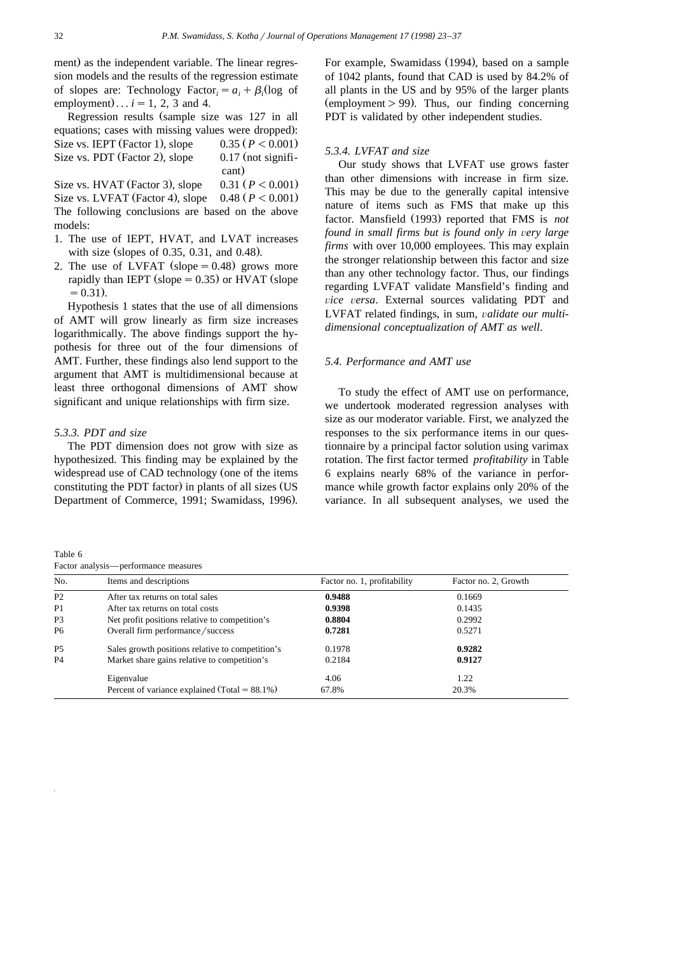ment) as the independent variable. The linear regression models and the results of the regression estimate of slopes are: Technology Factor,  $= a_i + \beta_i$  (log of employment)...  $i = 1, 2, 3$  and 4.

Regression results (sample size was 127 in all equations; cases with missing values were dropped): Size vs. IEPT (Factor 1), slope  $0.35 (P < 0.001)$ Size vs. PDT (Factor 2), slope  $0.17$  (not significant) Size vs. HVAT (Factor 3), slope  $0.31$  ( $P < 0.001$ ) Size vs. LVFAT (Factor 4), slope  $0.48$  ( $P < 0.001$ )

The following conclusions are based on the above models:

- 1. The use of IEPT, HVAT, and LVAT increases with size (slopes of 0.35, 0.31, and 0.48).
- 2. The use of LVFAT (slope  $= 0.48$ ) grows more rapidly than IEPT (slope  $= 0.35$ ) or HVAT (slope  $= 0.31$ .

Hypothesis 1 states that the use of all dimensions of AMT will grow linearly as firm size increases logarithmically. The above findings support the hypothesis for three out of the four dimensions of AMT. Further, these findings also lend support to the argument that AMT is multidimensional because at least three orthogonal dimensions of AMT show significant and unique relationships with firm size.

#### *5.3.3. PDT and size*

The PDT dimension does not grow with size as hypothesized. This finding may be explained by the widespread use of CAD technology (one of the items constituting the PDT factor) in plants of all sizes (US Department of Commerce, 1991; Swamidass, 1996).

Table 6

For example, Swamidass (1994), based on a sample of 1042 plants, found that CAD is used by 84.2% of all plants in the US and by 95% of the larger plants  $\epsilon$  (employment  $> 99$ ). Thus, our finding concerning PDT is validated by other independent studies.

## *5.3.4. LVFAT and size*

Our study shows that LVFAT use grows faster than other dimensions with increase in firm size. This may be due to the generally capital intensive nature of items such as FMS that make up this factor. Mansfield (1993) reported that FMS is not *found in small firms but is found only in very large firms* with over 10,000 employees. This may explain the stronger relationship between this factor and size than any other technology factor. Thus, our findings regarding LVFAT validate Mansfield's finding and vice versa. External sources validating PDT and LVFAT related findings, in sum, validate our multi*dimensional conceptualization of AMT as well*.

#### *5.4. Performance and AMT use*

To study the effect of AMT use on performance, we undertook moderated regression analyses with size as our moderator variable. First, we analyzed the responses to the six performance items in our questionnaire by a principal factor solution using varimax rotation. The first factor termed *profitability* in Table 6 explains nearly 68% of the variance in performance while growth factor explains only 20% of the variance. In all subsequent analyses, we used the

| Factor analysis—performance measures |                                                   |                             |                      |  |  |  |  |
|--------------------------------------|---------------------------------------------------|-----------------------------|----------------------|--|--|--|--|
| No.                                  | Items and descriptions                            | Factor no. 1, profitability | Factor no. 2, Growth |  |  |  |  |
| P <sub>2</sub>                       | After tax returns on total sales                  | 0.9488                      | 0.1669               |  |  |  |  |
| P <sub>1</sub>                       | After tax returns on total costs                  | 0.9398                      | 0.1435               |  |  |  |  |
| P <sub>3</sub>                       | Net profit positions relative to competition's    | 0.8804                      | 0.2992               |  |  |  |  |
| P <sub>6</sub>                       | Overall firm performance/success                  | 0.7281                      | 0.5271               |  |  |  |  |
| P <sub>5</sub>                       | Sales growth positions relative to competition's  | 0.1978                      | 0.9282               |  |  |  |  |
| <b>P4</b>                            | Market share gains relative to competition's      | 0.2184                      | 0.9127               |  |  |  |  |
|                                      | Eigenvalue                                        | 4.06                        | 1.22                 |  |  |  |  |
|                                      | Percent of variance explained (Total = $88.1\%$ ) | 67.8%                       | 20.3%                |  |  |  |  |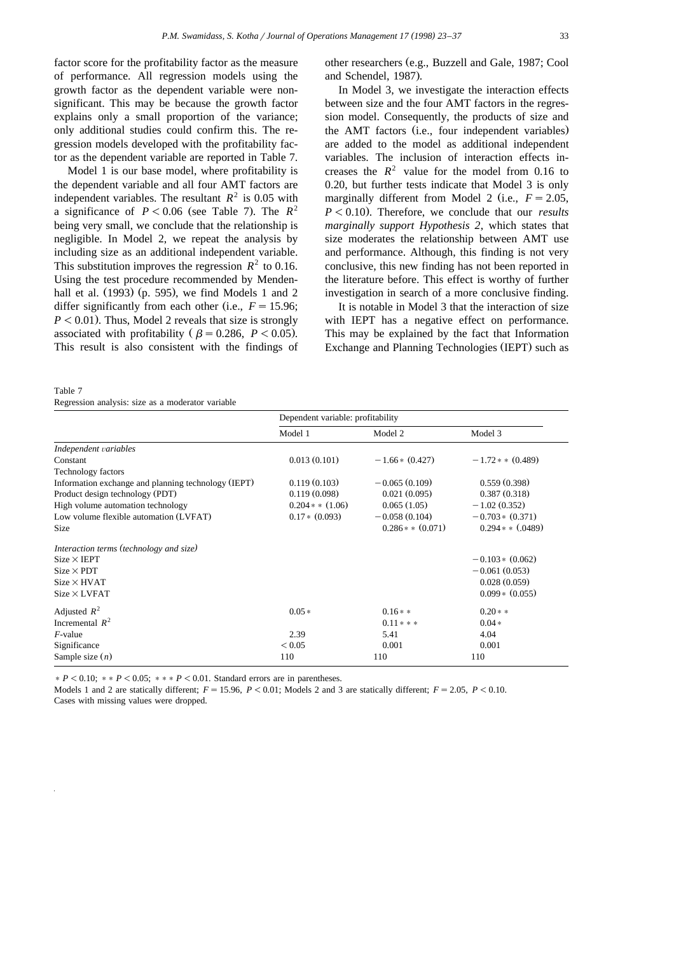factor score for the profitability factor as the measure of performance. All regression models using the growth factor as the dependent variable were nonsignificant. This may be because the growth factor explains only a small proportion of the variance; only additional studies could confirm this. The regression models developed with the profitability factor as the dependent variable are reported in Table 7.

Model 1 is our base model, where profitability is the dependent variable and all four AMT factors are independent variables. The resultant  $R^2$  is 0.05 with a significance of  $P < 0.06$  (see Table 7). The  $R^2$ being very small, we conclude that the relationship is negligible. In Model 2, we repeat the analysis by including size as an additional independent variable. This substitution improves the regression  $R^2$  to 0.16. Using the test procedure recommended by Mendenhall et al.  $(1993)$  (p. 595), we find Models 1 and 2 differ significantly from each other (i.e.,  $F = 15.96$ ;  $P < 0.01$ ). Thus, Model 2 reveals that size is strongly associated with profitability ( $\beta = 0.286$ ,  $P < 0.05$ ). This result is also consistent with the findings of

other researchers (e.g., Buzzell and Gale, 1987; Cool and Schendel, 1987).

In Model 3, we investigate the interaction effects between size and the four AMT factors in the regression model. Consequently, the products of size and the AMT factors (i.e., four independent variables) are added to the model as additional independent variables. The inclusion of interaction effects increases the  $R^2$  value for the model from 0.16 to 0.20, but further tests indicate that Model 3 is only marginally different from Model 2 (i.e.,  $F = 2.05$ ,  $P < 0.10$ ). Therefore, we conclude that our *results marginally support Hypothesis 2*, which states that size moderates the relationship between AMT use and performance. Although, this finding is not very conclusive, this new finding has not been reported in the literature before. This effect is worthy of further investigation in search of a more conclusive finding.

It is notable in Model 3 that the interaction of size with IEPT has a negative effect on performance. This may be explained by the fact that Information Exchange and Planning Technologies (IEPT) such as

| Table 7                                           |  |  |  |  |
|---------------------------------------------------|--|--|--|--|
| Regression analysis: size as a moderator variable |  |  |  |  |

|                                                     | Dependent variable: profitability |                       |                       |
|-----------------------------------------------------|-----------------------------------|-----------------------|-----------------------|
|                                                     | Model 1                           | Model 2               | Model 3               |
| Independent variables                               |                                   |                       |                       |
| Constant                                            | 0.013(0.101)                      | $-1.66*(0.427)$       | $-1.72$ * * (0.489)   |
| Technology factors                                  |                                   |                       |                       |
| Information exchange and planning technology (IEPT) | 0.119(0.103)                      | $-0.065(0.109)$       | 0.559(0.398)          |
| Product design technology (PDT)                     | 0.119(0.098)                      | 0.021(0.095)          | 0.387(0.318)          |
| High volume automation technology                   | $0.204$ * $*(1.06)$               | 0.065(1.05)           | $-1.02(0.352)$        |
| Low volume flexible automation (LVFAT)              | $0.17*(0.093)$                    | $-0.058(0.104)$       | $-0.703*(0.371)$      |
| Size                                                |                                   | $0.286$ $*$ $(0.071)$ | $0.294$ * * $(.0489)$ |
| Interaction terms (technology and size)             |                                   |                       |                       |
| $Size \times IEPT$                                  |                                   |                       | $-0.103*(0.062)$      |
| $Size \times PDT$                                   |                                   |                       | $-0.061(0.053)$       |
| $Size \times HVAT$                                  |                                   |                       | 0.028(0.059)          |
| $Size \times LVFAT$                                 |                                   |                       | $0.099 * (0.055)$     |
| Adjusted $R^2$                                      | $0.05*$                           | $0.16**$              | $0.20**$              |
| Incremental $R^2$                                   |                                   | $0.11***$             | $0.04*$               |
| <i>F</i> -value                                     | 2.39                              | 5.41                  | 4.04                  |
| Significance                                        | ${}_{0.05}$                       | 0.001                 | 0.001                 |
| Sample size $(n)$                                   | 110                               | 110                   | 110                   |

 $P < 0.10$ ;  $*$   $*$   $P < 0.05$ ;  $*$   $*$   $*$   $P < 0.01$ . Standard errors are in parentheses.

Models 1 and 2 are statically different;  $F = 15.96$ ,  $P < 0.01$ ; Models 2 and 3 are statically different;  $F = 2.05$ ,  $P < 0.10$ . Cases with missing values were dropped.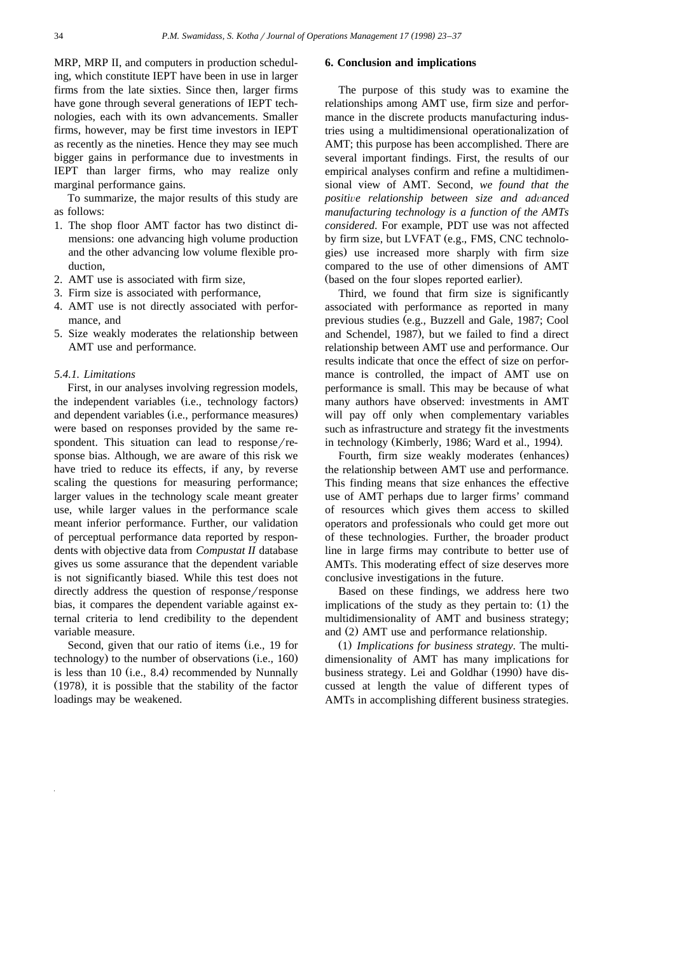MRP, MRP II, and computers in production scheduling, which constitute IEPT have been in use in larger firms from the late sixties. Since then, larger firms have gone through several generations of IEPT technologies, each with its own advancements. Smaller firms, however, may be first time investors in IEPT as recently as the nineties. Hence they may see much bigger gains in performance due to investments in IEPT than larger firms, who may realize only marginal performance gains.

To summarize, the major results of this study are as follows:

- 1. The shop floor AMT factor has two distinct dimensions: one advancing high volume production and the other advancing low volume flexible production,
- 2. AMT use is associated with firm size,
- 3. Firm size is associated with performance,
- 4. AMT use is not directly associated with performance, and
- 5. Size weakly moderates the relationship between AMT use and performance.

## *5.4.1. Limitations*

First, in our analyses involving regression models, the independent variables (i.e., technology factors) and dependent variables (i.e., performance measures) were based on responses provided by the same respondent. This situation can lead to  $response/re$ sponse bias. Although, we are aware of this risk we have tried to reduce its effects, if any, by reverse scaling the questions for measuring performance; larger values in the technology scale meant greater use, while larger values in the performance scale meant inferior performance. Further, our validation of perceptual performance data reported by respondents with objective data from *Compustat II* database gives us some assurance that the dependent variable is not significantly biased. While this test does not directly address the question of response/response bias, it compares the dependent variable against external criteria to lend credibility to the dependent variable measure.

Second, given that our ratio of items (i.e., 19 for technology) to the number of observations  $(i.e., 160)$ is less than 10 (i.e.,  $8.4$ ) recommended by Nunnally  $(1978)$ , it is possible that the stability of the factor loadings may be weakened.

#### **6. Conclusion and implications**

The purpose of this study was to examine the relationships among AMT use, firm size and performance in the discrete products manufacturing industries using a multidimensional operationalization of AMT; this purpose has been accomplished. There are several important findings. First, the results of our empirical analyses confirm and refine a multidimensional view of AMT. Second, *we found that the positive relationship between size and advanced manufacturing technology is a function of the AMTs considered*. For example, PDT use was not affected by firm size, but LVFAT (e.g., FMS, CNC technologies) use increased more sharply with firm size compared to the use of other dimensions of AMT (based on the four slopes reported earlier).

Third, we found that firm size is significantly associated with performance as reported in many previous studies (e.g., Buzzell and Gale, 1987; Cool and Schendel, 1987), but we failed to find a direct relationship between AMT use and performance. Our results indicate that once the effect of size on performance is controlled, the impact of AMT use on performance is small. This may be because of what many authors have observed: investments in AMT will pay off only when complementary variables such as infrastructure and strategy fit the investments in technology (Kimberly, 1986; Ward et al., 1994).

Fourth, firm size weakly moderates (enhances) the relationship between AMT use and performance. This finding means that size enhances the effective use of AMT perhaps due to larger firms' command of resources which gives them access to skilled operators and professionals who could get more out of these technologies. Further, the broader product line in large firms may contribute to better use of AMTs. This moderating effect of size deserves more conclusive investigations in the future.

Based on these findings, we address here two implications of the study as they pertain to:  $(1)$  the multidimensionality of AMT and business strategy; and (2) AMT use and performance relationship.

Ž . 1 *Implications for business strategy*. The multidimensionality of AMT has many implications for business strategy. Lei and Goldhar (1990) have discussed at length the value of different types of AMTs in accomplishing different business strategies.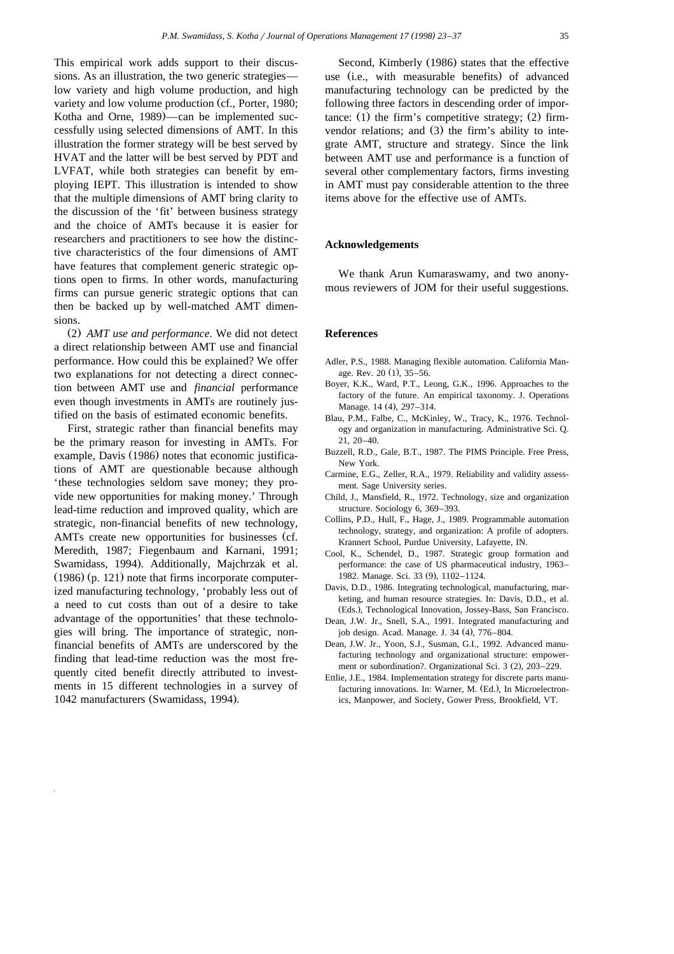This empirical work adds support to their discussions. As an illustration, the two generic strategies low variety and high volume production, and high variety and low volume production (cf., Porter, 1980; Kotha and Orne, 1989)—can be implemented successfully using selected dimensions of AMT. In this illustration the former strategy will be best served by HVAT and the latter will be best served by PDT and LVFAT, while both strategies can benefit by employing IEPT. This illustration is intended to show that the multiple dimensions of AMT bring clarity to the discussion of the 'fit' between business strategy and the choice of AMTs because it is easier for researchers and practitioners to see how the distinctive characteristics of the four dimensions of AMT have features that complement generic strategic options open to firms. In other words, manufacturing firms can pursue generic strategic options that can then be backed up by well-matched AMT dimensions.

(2) AMT use and performance. We did not detect a direct relationship between AMT use and financial performance. How could this be explained? We offer two explanations for not detecting a direct connection between AMT use and *financial* performance even though investments in AMTs are routinely justified on the basis of estimated economic benefits.

First, strategic rather than financial benefits may be the primary reason for investing in AMTs. For example, Davis (1986) notes that economic justifications of AMT are questionable because although 'these technologies seldom save money; they provide new opportunities for making money.' Through lead-time reduction and improved quality, which are strategic, non-financial benefits of new technology, AMTs create new opportunities for businesses (cf. Meredith, 1987; Fiegenbaum and Karnani, 1991; Swamidass, 1994). Additionally, Majchrzak et al.  $(1986)$  (p. 121) note that firms incorporate computerized manufacturing technology, 'probably less out of a need to cut costs than out of a desire to take advantage of the opportunities' that these technologies will bring. The importance of strategic, nonfinancial benefits of AMTs are underscored by the finding that lead-time reduction was the most frequently cited benefit directly attributed to investments in 15 different technologies in a survey of 1042 manufacturers (Swamidass, 1994).

Second, Kimberly (1986) states that the effective use (i.e., with measurable benefits) of advanced manufacturing technology can be predicted by the following three factors in descending order of importance:  $(1)$  the firm's competitive strategy;  $(2)$  firmvendor relations; and  $(3)$  the firm's ability to integrate AMT, structure and strategy. Since the link between AMT use and performance is a function of several other complementary factors, firms investing in AMT must pay considerable attention to the three items above for the effective use of AMTs.

#### **Acknowledgements**

We thank Arun Kumaraswamy, and two anonymous reviewers of JOM for their useful suggestions.

# **References**

- Adler, P.S., 1988. Managing flexible automation. California Manage. Rev.  $20(1)$ ,  $35-56$ .
- Boyer, K.K., Ward, P.T., Leong, G.K., 1996. Approaches to the factory of the future. An empirical taxonomy. J. Operations Manage. 14 (4), 297-314.
- Blau, P.M., Falbe, C., McKinley, W., Tracy, K., 1976. Technology and organization in manufacturing. Administrative Sci. Q. 21, 20–40.
- Buzzell, R.D., Gale, B.T., 1987. The PIMS Principle. Free Press, New York.
- Carmine, E.G., Zeller, R.A., 1979. Reliability and validity assessment. Sage University series.
- Child, J., Mansfield, R., 1972. Technology, size and organization structure. Sociology 6, 369–393.
- Collins, P.D., Hull, F., Hage, J., 1989. Programmable automation technology, strategy, and organization: A profile of adopters. Krannert School, Purdue University, Lafayette, IN.
- Cool, K., Schendel, D., 1987. Strategic group formation and performance: the case of US pharmaceutical industry, 1963– 1982. Manage. Sci. 33 (9), 1102-1124.
- Davis, D.D., 1986. Integrating technological, manufacturing, marketing, and human resource strategies. In: Davis, D.D., et al. (Eds.), Technological Innovation, Jossey-Bass, San Francisco.
- Dean, J.W. Jr., Snell, S.A., 1991. Integrated manufacturing and job design. Acad. Manage. J. 34 (4), 776-804.
- Dean, J.W. Jr., Yoon, S.J., Susman, G.I., 1992. Advanced manufacturing technology and organizational structure: empowerment or subordination?. Organizational Sci. 3 (2), 203-229.
- Ettlie, J.E., 1984. Implementation strategy for discrete parts manufacturing innovations. In: Warner, M. (Ed.), In Microelectronics, Manpower, and Society, Gower Press, Brookfield, VT.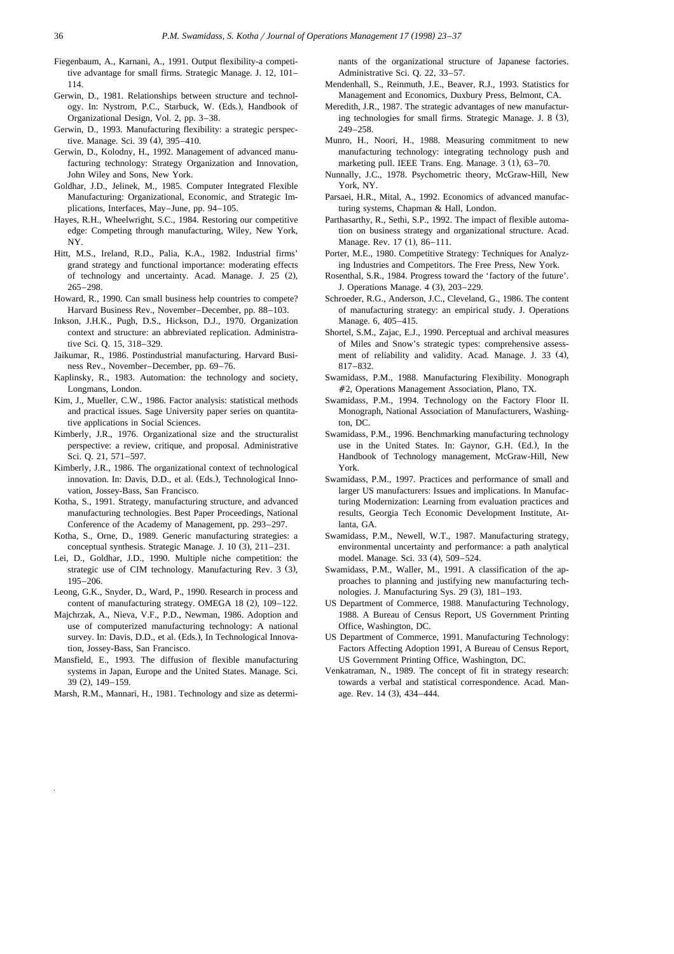- Fiegenbaum, A., Karnani, A., 1991. Output flexibility-a competitive advantage for small firms. Strategic Manage. J. 12, 101– 114.
- Gerwin, D., 1981. Relationships between structure and technology. In: Nystrom, P.C., Starbuck, W. (Eds.), Handbook of Organizational Design, Vol. 2, pp. 3–38.
- Gerwin, D., 1993. Manufacturing flexibility: a strategic perspective. Manage. Sci. 39 (4), 395-410.
- Gerwin, D., Kolodny, H., 1992. Management of advanced manufacturing technology: Strategy Organization and Innovation, John Wiley and Sons, New York.
- Goldhar, J.D., Jelinek, M., 1985. Computer Integrated Flexible Manufacturing: Organizational, Economic, and Strategic Implications, Interfaces, May–June, pp. 94–105.
- Hayes, R.H., Wheelwright, S.C., 1984. Restoring our competitive edge: Competing through manufacturing, Wiley, New York, NY.
- Hitt, M.S., Ireland, R.D., Palia, K.A., 1982. Industrial firms' grand strategy and functional importance: moderating effects of technology and uncertainty. Acad. Manage. J.  $25$   $(2)$ , 265–298.
- Howard, R., 1990. Can small business help countries to compete? Harvard Business Rev., November–December, pp. 88–103.
- Inkson, J.H.K., Pugh, D.S., Hickson, D.J., 1970. Organization context and structure: an abbreviated replication. Administrative Sci. Q. 15, 318–329.
- Jaikumar, R., 1986. Postindustrial manufacturing. Harvard Business Rev., November–December, pp. 69–76.
- Kaplinsky, R., 1983. Automation: the technology and society, Longmans, London.
- Kim, J., Mueller, C.W., 1986. Factor analysis: statistical methods and practical issues. Sage University paper series on quantitative applications in Social Sciences.
- Kimberly, J.R., 1976. Organizational size and the structuralist perspective: a review, critique, and proposal. Administrative Sci. Q. 21, 571–597.
- Kimberly, J.R., 1986. The organizational context of technological innovation. In: Davis, D.D., et al. (Eds.), Technological Innovation, Jossey-Bass, San Francisco.
- Kotha, S., 1991. Strategy, manufacturing structure, and advanced manufacturing technologies. Best Paper Proceedings, National Conference of the Academy of Management, pp. 293–297.
- Kotha, S., Orne, D., 1989. Generic manufacturing strategies: a conceptual synthesis. Strategic Manage. J.  $10(3)$ ,  $211-231$ .
- Lei, D., Goldhar, J.D., 1990. Multiple niche competition: the strategic use of CIM technology. Manufacturing Rev. 3 (3), 195–206.
- Leong, G.K., Snyder, D., Ward, P., 1990. Research in process and content of manufacturing strategy. OMEGA  $18$  (2),  $109-122$ .
- Majchrzak, A., Nieva, V.F., P.D., Newman, 1986. Adoption and use of computerized manufacturing technology: A national survey. In: Davis, D.D., et al. (Eds.), In Technological Innovation, Jossey-Bass, San Francisco.
- Mansfield, E., 1993. The diffusion of flexible manufacturing systems in Japan, Europe and the United States. Manage. Sci. 39 (2), 149–159.
- Marsh, R.M., Mannari, H., 1981. Technology and size as determi-

nants of the organizational structure of Japanese factories. Administrative Sci. Q. 22, 33–57.

- Mendenhall, S., Reinmuth, J.E., Beaver, R.J., 1993. Statistics for Management and Economics, Duxbury Press, Belmont, CA.
- Meredith, J.R., 1987. The strategic advantages of new manufacturing technologies for small firms. Strategic Manage. J. 8 (3), 249–258.
- Munro, H., Noori, H., 1988. Measuring commitment to new manufacturing technology: integrating technology push and marketing pull. IEEE Trans. Eng. Manage.  $3(1)$ ,  $63-70$ .
- Nunnally, J.C., 1978. Psychometric theory, McGraw-Hill, New York, NY.
- Parsaei, H.R., Mital, A., 1992. Economics of advanced manufacturing systems, Chapman & Hall, London.
- Parthasarthy, R., Sethi, S.P., 1992. The impact of flexible automation on business strategy and organizational structure. Acad. Manage. Rev. 17 (1), 86–111.
- Porter, M.E., 1980. Competitive Strategy: Techniques for Analyzing Industries and Competitors. The Free Press, New York.
- Rosenthal, S.R., 1984. Progress toward the 'factory of the future'. J. Operations Manage. 4 (3), 203-229.
- Schroeder, R.G., Anderson, J.C., Cleveland, G., 1986. The content of manufacturing strategy: an empirical study. J. Operations Manage. 6, 405–415.
- Shortel, S.M., Zajac, E.J., 1990. Perceptual and archival measures of Miles and Snow's strategic types: comprehensive assessment of reliability and validity. Acad. Manage. J. 33 (4), 817–832.
- Swamidass, P.M., 1988. Manufacturing Flexibility. Monograph #2, Operations Management Association, Plano, TX.
- Swamidass, P.M., 1994. Technology on the Factory Floor II. Monograph, National Association of Manufacturers, Washington, DC.
- Swamidass, P.M., 1996. Benchmarking manufacturing technology use in the United States. In: Gaynor, G.H. (Ed.), In the Handbook of Technology management, McGraw-Hill, New York.
- Swamidass, P.M., 1997. Practices and performance of small and larger US manufacturers: Issues and implications. In Manufacturing Modernization: Learning from evaluation practices and results, Georgia Tech Economic Development Institute, Atlanta, GA.
- Swamidass, P.M., Newell, W.T., 1987. Manufacturing strategy, environmental uncertainty and performance: a path analytical model. Manage. Sci. 33 (4), 509-524.
- Swamidass, P.M., Waller, M., 1991. A classification of the approaches to planning and justifying new manufacturing technologies. J. Manufacturing Sys. 29 (3), 181-193.
- US Department of Commerce, 1988. Manufacturing Technology, 1988. A Bureau of Census Report, US Government Printing Office, Washington, DC.
- US Department of Commerce, 1991. Manufacturing Technology: Factors Affecting Adoption 1991, A Bureau of Census Report, US Government Printing Office, Washington, DC.
- Venkatraman, N., 1989. The concept of fit in strategy research: towards a verbal and statistical correspondence. Acad. Manage. Rev.  $14$  (3),  $434-444$ .